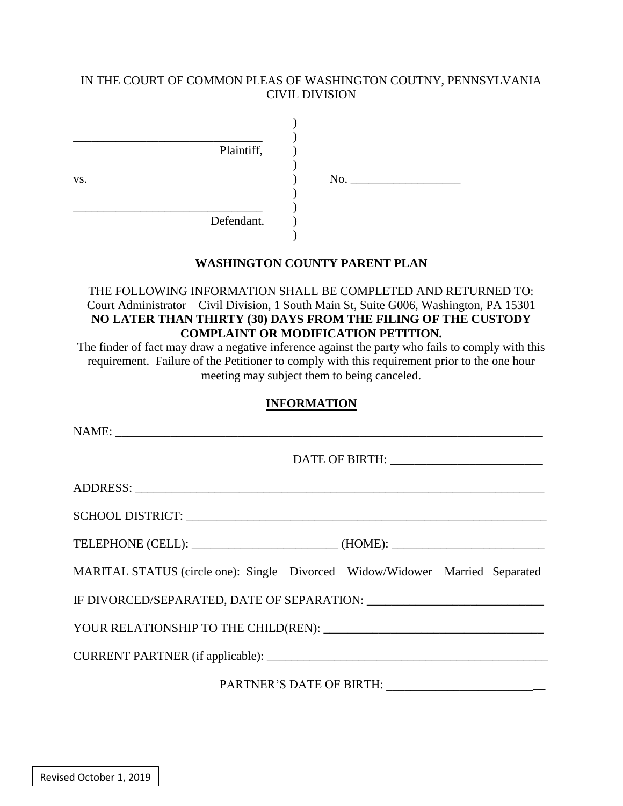### IN THE COURT OF COMMON PLEAS OF WASHINGTON COUTNY, PENNSYLVANIA CIVIL DIVISION

|     | Plaintiff, |     |  |
|-----|------------|-----|--|
| VS. |            | No. |  |
|     | Defendant. |     |  |

### **WASHINGTON COUNTY PARENT PLAN**

### THE FOLLOWING INFORMATION SHALL BE COMPLETED AND RETURNED TO: Court Administrator—Civil Division, 1 South Main St, Suite G006, Washington, PA 15301 **NO LATER THAN THIRTY (30) DAYS FROM THE FILING OF THE CUSTODY COMPLAINT OR MODIFICATION PETITION.**

The finder of fact may draw a negative inference against the party who fails to comply with this requirement. Failure of the Petitioner to comply with this requirement prior to the one hour meeting may subject them to being canceled.

#### **INFORMATION**

| DATE OF BIRTH: _________________________                                     |  |  |  |  |  |  |
|------------------------------------------------------------------------------|--|--|--|--|--|--|
|                                                                              |  |  |  |  |  |  |
|                                                                              |  |  |  |  |  |  |
|                                                                              |  |  |  |  |  |  |
| MARITAL STATUS (circle one): Single Divorced Widow/Widower Married Separated |  |  |  |  |  |  |
|                                                                              |  |  |  |  |  |  |
|                                                                              |  |  |  |  |  |  |
|                                                                              |  |  |  |  |  |  |
|                                                                              |  |  |  |  |  |  |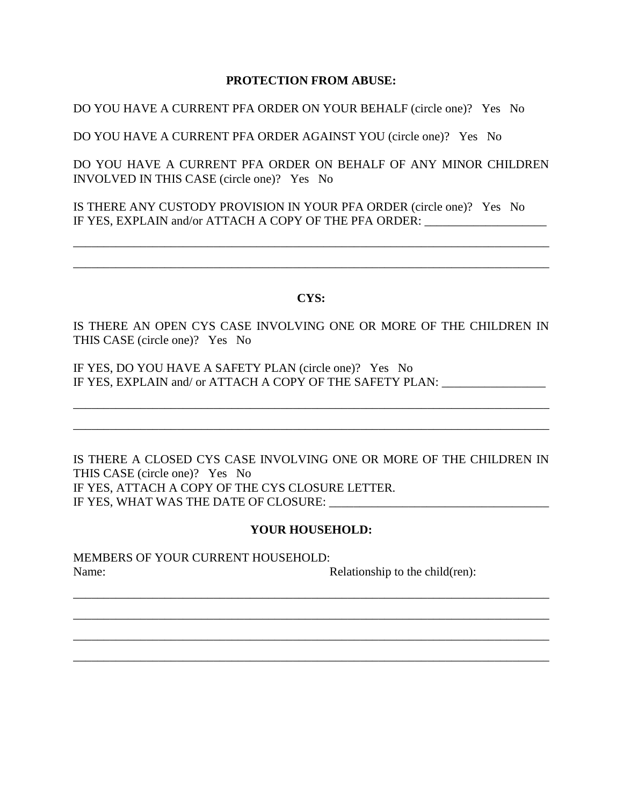### **PROTECTION FROM ABUSE:**

DO YOU HAVE A CURRENT PFA ORDER ON YOUR BEHALF (circle one)? Yes No

DO YOU HAVE A CURRENT PFA ORDER AGAINST YOU (circle one)? Yes No

DO YOU HAVE A CURRENT PFA ORDER ON BEHALF OF ANY MINOR CHILDREN INVOLVED IN THIS CASE (circle one)? Yes No

IS THERE ANY CUSTODY PROVISION IN YOUR PFA ORDER (circle one)? Yes No IF YES, EXPLAIN and/or ATTACH A COPY OF THE PFA ORDER: \_\_\_\_\_\_\_\_\_\_\_\_\_\_\_\_\_\_\_\_\_\_\_\_\_

#### **CYS:**

\_\_\_\_\_\_\_\_\_\_\_\_\_\_\_\_\_\_\_\_\_\_\_\_\_\_\_\_\_\_\_\_\_\_\_\_\_\_\_\_\_\_\_\_\_\_\_\_\_\_\_\_\_\_\_\_\_\_\_\_\_\_\_\_\_\_\_\_\_\_\_\_\_\_\_\_\_\_

\_\_\_\_\_\_\_\_\_\_\_\_\_\_\_\_\_\_\_\_\_\_\_\_\_\_\_\_\_\_\_\_\_\_\_\_\_\_\_\_\_\_\_\_\_\_\_\_\_\_\_\_\_\_\_\_\_\_\_\_\_\_\_\_\_\_\_\_\_\_\_\_\_\_\_\_\_\_

IS THERE AN OPEN CYS CASE INVOLVING ONE OR MORE OF THE CHILDREN IN THIS CASE (circle one)? Yes No

\_\_\_\_\_\_\_\_\_\_\_\_\_\_\_\_\_\_\_\_\_\_\_\_\_\_\_\_\_\_\_\_\_\_\_\_\_\_\_\_\_\_\_\_\_\_\_\_\_\_\_\_\_\_\_\_\_\_\_\_\_\_\_\_\_\_\_\_\_\_\_\_\_\_\_\_\_\_

\_\_\_\_\_\_\_\_\_\_\_\_\_\_\_\_\_\_\_\_\_\_\_\_\_\_\_\_\_\_\_\_\_\_\_\_\_\_\_\_\_\_\_\_\_\_\_\_\_\_\_\_\_\_\_\_\_\_\_\_\_\_\_\_\_\_\_\_\_\_\_\_\_\_\_\_\_\_

IF YES, DO YOU HAVE A SAFETY PLAN (circle one)? Yes No IF YES, EXPLAIN and/ or ATTACH A COPY OF THE SAFETY PLAN:

IS THERE A CLOSED CYS CASE INVOLVING ONE OR MORE OF THE CHILDREN IN THIS CASE (circle one)? Yes No IF YES, ATTACH A COPY OF THE CYS CLOSURE LETTER. IF YES, WHAT WAS THE DATE OF CLOSURE: \_\_\_\_\_\_\_\_\_\_\_\_\_\_\_\_\_\_\_\_\_\_\_\_\_\_\_\_\_\_\_\_\_\_\_\_

### **YOUR HOUSEHOLD:**

\_\_\_\_\_\_\_\_\_\_\_\_\_\_\_\_\_\_\_\_\_\_\_\_\_\_\_\_\_\_\_\_\_\_\_\_\_\_\_\_\_\_\_\_\_\_\_\_\_\_\_\_\_\_\_\_\_\_\_\_\_\_\_\_\_\_\_\_\_\_\_\_\_\_\_\_\_\_

\_\_\_\_\_\_\_\_\_\_\_\_\_\_\_\_\_\_\_\_\_\_\_\_\_\_\_\_\_\_\_\_\_\_\_\_\_\_\_\_\_\_\_\_\_\_\_\_\_\_\_\_\_\_\_\_\_\_\_\_\_\_\_\_\_\_\_\_\_\_\_\_\_\_\_\_\_\_

\_\_\_\_\_\_\_\_\_\_\_\_\_\_\_\_\_\_\_\_\_\_\_\_\_\_\_\_\_\_\_\_\_\_\_\_\_\_\_\_\_\_\_\_\_\_\_\_\_\_\_\_\_\_\_\_\_\_\_\_\_\_\_\_\_\_\_\_\_\_\_\_\_\_\_\_\_\_

\_\_\_\_\_\_\_\_\_\_\_\_\_\_\_\_\_\_\_\_\_\_\_\_\_\_\_\_\_\_\_\_\_\_\_\_\_\_\_\_\_\_\_\_\_\_\_\_\_\_\_\_\_\_\_\_\_\_\_\_\_\_\_\_\_\_\_\_\_\_\_\_\_\_\_\_\_\_

MEMBERS OF YOUR CURRENT HOUSEHOLD: Name: Relationship to the child(ren):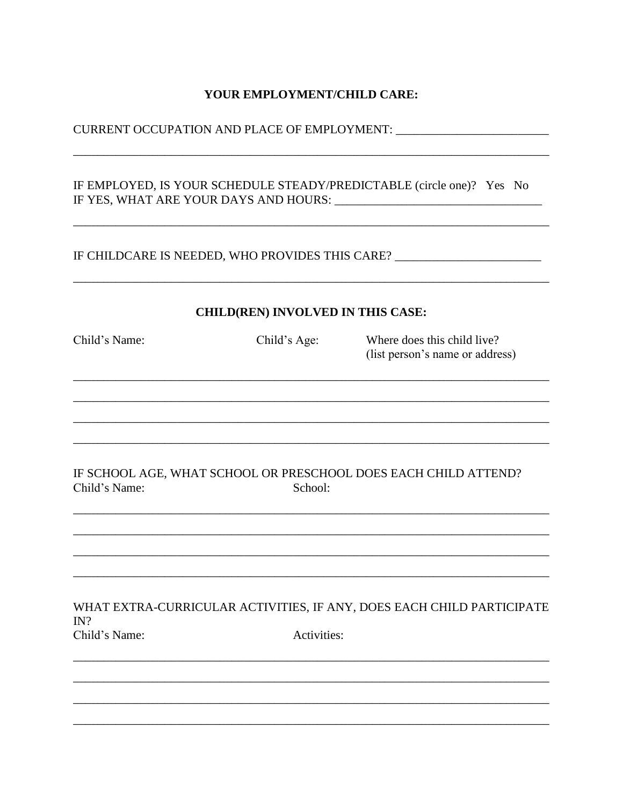### YOUR EMPLOYMENT/CHILD CARE:

IF EMPLOYED, IS YOUR SCHEDULE STEADY/PREDICTABLE (circle one)? Yes No 

### IF CHILDCARE IS NEEDED, WHO PROVIDES THIS CARE? \_\_\_\_\_\_\_\_\_\_\_\_\_\_\_\_\_\_\_\_\_\_\_\_\_\_\_\_\_\_\_\_

#### **CHILD(REN) INVOLVED IN THIS CASE:**

| Child's Name: | Child's Age: | Where does this child live?<br>(list person's name or address)        |
|---------------|--------------|-----------------------------------------------------------------------|
|               |              |                                                                       |
|               |              |                                                                       |
| Child's Name: | School:      | IF SCHOOL AGE, WHAT SCHOOL OR PRESCHOOL DOES EACH CHILD ATTEND?       |
|               |              |                                                                       |
| IN?           |              | WHAT EXTRA-CURRICULAR ACTIVITIES, IF ANY, DOES EACH CHILD PARTICIPATE |
| Child's Name: | Activities:  |                                                                       |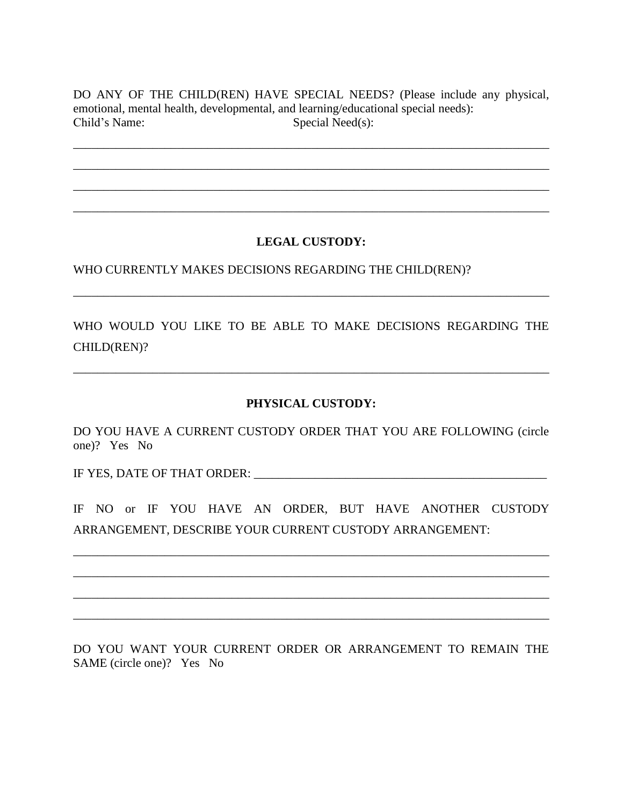DO ANY OF THE CHILD(REN) HAVE SPECIAL NEEDS? (Please include any physical, emotional, mental health, developmental, and learning/educational special needs): Child's Name: Special Need(s):

\_\_\_\_\_\_\_\_\_\_\_\_\_\_\_\_\_\_\_\_\_\_\_\_\_\_\_\_\_\_\_\_\_\_\_\_\_\_\_\_\_\_\_\_\_\_\_\_\_\_\_\_\_\_\_\_\_\_\_\_\_\_\_\_\_\_\_\_\_\_\_\_\_\_\_\_\_\_

\_\_\_\_\_\_\_\_\_\_\_\_\_\_\_\_\_\_\_\_\_\_\_\_\_\_\_\_\_\_\_\_\_\_\_\_\_\_\_\_\_\_\_\_\_\_\_\_\_\_\_\_\_\_\_\_\_\_\_\_\_\_\_\_\_\_\_\_\_\_\_\_\_\_\_\_\_\_

\_\_\_\_\_\_\_\_\_\_\_\_\_\_\_\_\_\_\_\_\_\_\_\_\_\_\_\_\_\_\_\_\_\_\_\_\_\_\_\_\_\_\_\_\_\_\_\_\_\_\_\_\_\_\_\_\_\_\_\_\_\_\_\_\_\_\_\_\_\_\_\_\_\_\_\_\_\_

\_\_\_\_\_\_\_\_\_\_\_\_\_\_\_\_\_\_\_\_\_\_\_\_\_\_\_\_\_\_\_\_\_\_\_\_\_\_\_\_\_\_\_\_\_\_\_\_\_\_\_\_\_\_\_\_\_\_\_\_\_\_\_\_\_\_\_\_\_\_\_\_\_\_\_\_\_\_

## **LEGAL CUSTODY:**

WHO CURRENTLY MAKES DECISIONS REGARDING THE CHILD(REN)?

WHO WOULD YOU LIKE TO BE ABLE TO MAKE DECISIONS REGARDING THE CHILD(REN)?

\_\_\_\_\_\_\_\_\_\_\_\_\_\_\_\_\_\_\_\_\_\_\_\_\_\_\_\_\_\_\_\_\_\_\_\_\_\_\_\_\_\_\_\_\_\_\_\_\_\_\_\_\_\_\_\_\_\_\_\_\_\_\_\_\_\_\_\_\_\_\_\_\_\_\_\_\_\_

\_\_\_\_\_\_\_\_\_\_\_\_\_\_\_\_\_\_\_\_\_\_\_\_\_\_\_\_\_\_\_\_\_\_\_\_\_\_\_\_\_\_\_\_\_\_\_\_\_\_\_\_\_\_\_\_\_\_\_\_\_\_\_\_\_\_\_\_\_\_\_\_\_\_\_\_\_\_

## **PHYSICAL CUSTODY:**

DO YOU HAVE A CURRENT CUSTODY ORDER THAT YOU ARE FOLLOWING (circle one)? Yes No

IF YES, DATE OF THAT ORDER: \_\_\_\_\_\_\_\_\_\_\_\_\_\_\_\_\_\_\_\_\_\_\_\_\_\_\_\_\_\_\_\_\_\_\_\_\_\_\_\_\_\_\_\_\_\_\_\_

IF NO or IF YOU HAVE AN ORDER, BUT HAVE ANOTHER CUSTODY ARRANGEMENT, DESCRIBE YOUR CURRENT CUSTODY ARRANGEMENT:

\_\_\_\_\_\_\_\_\_\_\_\_\_\_\_\_\_\_\_\_\_\_\_\_\_\_\_\_\_\_\_\_\_\_\_\_\_\_\_\_\_\_\_\_\_\_\_\_\_\_\_\_\_\_\_\_\_\_\_\_\_\_\_\_\_\_\_\_\_\_\_\_\_\_\_\_\_\_

\_\_\_\_\_\_\_\_\_\_\_\_\_\_\_\_\_\_\_\_\_\_\_\_\_\_\_\_\_\_\_\_\_\_\_\_\_\_\_\_\_\_\_\_\_\_\_\_\_\_\_\_\_\_\_\_\_\_\_\_\_\_\_\_\_\_\_\_\_\_\_\_\_\_\_\_\_\_

\_\_\_\_\_\_\_\_\_\_\_\_\_\_\_\_\_\_\_\_\_\_\_\_\_\_\_\_\_\_\_\_\_\_\_\_\_\_\_\_\_\_\_\_\_\_\_\_\_\_\_\_\_\_\_\_\_\_\_\_\_\_\_\_\_\_\_\_\_\_\_\_\_\_\_\_\_\_

\_\_\_\_\_\_\_\_\_\_\_\_\_\_\_\_\_\_\_\_\_\_\_\_\_\_\_\_\_\_\_\_\_\_\_\_\_\_\_\_\_\_\_\_\_\_\_\_\_\_\_\_\_\_\_\_\_\_\_\_\_\_\_\_\_\_\_\_\_\_\_\_\_\_\_\_\_\_

DO YOU WANT YOUR CURRENT ORDER OR ARRANGEMENT TO REMAIN THE SAME (circle one)? Yes No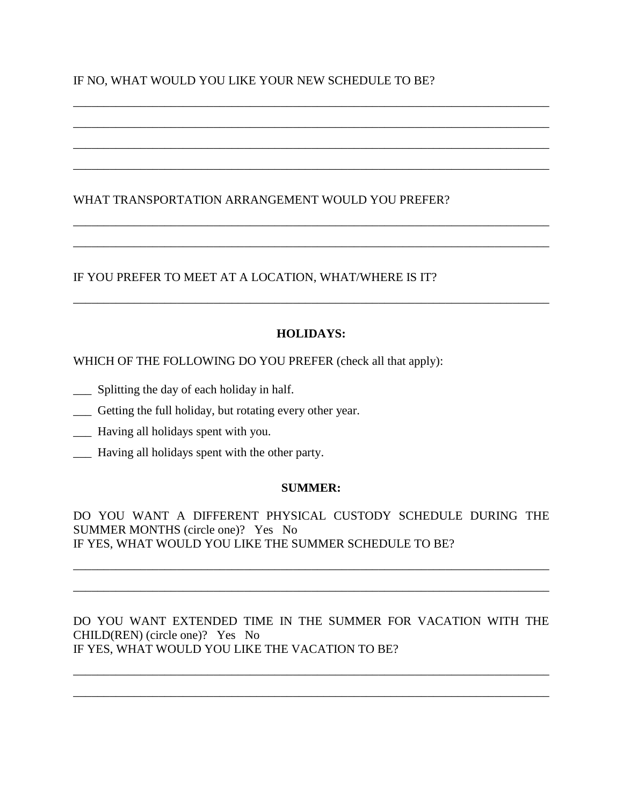## IF NO, WHAT WOULD YOU LIKE YOUR NEW SCHEDULE TO BE?

### WHAT TRANSPORTATION ARRANGEMENT WOULD YOU PREFER?

## IF YOU PREFER TO MEET AT A LOCATION, WHAT/WHERE IS IT?

### **HOLIDAYS:**

\_\_\_\_\_\_\_\_\_\_\_\_\_\_\_\_\_\_\_\_\_\_\_\_\_\_\_\_\_\_\_\_\_\_\_\_\_\_\_\_\_\_\_\_\_\_\_\_\_\_\_\_\_\_\_\_\_\_\_\_\_\_\_\_\_\_\_\_\_\_\_\_\_\_\_\_\_\_

\_\_\_\_\_\_\_\_\_\_\_\_\_\_\_\_\_\_\_\_\_\_\_\_\_\_\_\_\_\_\_\_\_\_\_\_\_\_\_\_\_\_\_\_\_\_\_\_\_\_\_\_\_\_\_\_\_\_\_\_\_\_\_\_\_\_\_\_\_\_\_\_\_\_\_\_\_\_

\_\_\_\_\_\_\_\_\_\_\_\_\_\_\_\_\_\_\_\_\_\_\_\_\_\_\_\_\_\_\_\_\_\_\_\_\_\_\_\_\_\_\_\_\_\_\_\_\_\_\_\_\_\_\_\_\_\_\_\_\_\_\_\_\_\_\_\_\_\_\_\_\_\_\_\_\_\_

\_\_\_\_\_\_\_\_\_\_\_\_\_\_\_\_\_\_\_\_\_\_\_\_\_\_\_\_\_\_\_\_\_\_\_\_\_\_\_\_\_\_\_\_\_\_\_\_\_\_\_\_\_\_\_\_\_\_\_\_\_\_\_\_\_\_\_\_\_\_\_\_\_\_\_\_\_\_

\_\_\_\_\_\_\_\_\_\_\_\_\_\_\_\_\_\_\_\_\_\_\_\_\_\_\_\_\_\_\_\_\_\_\_\_\_\_\_\_\_\_\_\_\_\_\_\_\_\_\_\_\_\_\_\_\_\_\_\_\_\_\_\_\_\_\_\_\_\_\_\_\_\_\_\_\_\_

\_\_\_\_\_\_\_\_\_\_\_\_\_\_\_\_\_\_\_\_\_\_\_\_\_\_\_\_\_\_\_\_\_\_\_\_\_\_\_\_\_\_\_\_\_\_\_\_\_\_\_\_\_\_\_\_\_\_\_\_\_\_\_\_\_\_\_\_\_\_\_\_\_\_\_\_\_\_

\_\_\_\_\_\_\_\_\_\_\_\_\_\_\_\_\_\_\_\_\_\_\_\_\_\_\_\_\_\_\_\_\_\_\_\_\_\_\_\_\_\_\_\_\_\_\_\_\_\_\_\_\_\_\_\_\_\_\_\_\_\_\_\_\_\_\_\_\_\_\_\_\_\_\_\_\_\_

WHICH OF THE FOLLOWING DO YOU PREFER (check all that apply):

- \_\_\_ Splitting the day of each holiday in half.
- \_\_\_ Getting the full holiday, but rotating every other year.
- \_\_\_ Having all holidays spent with you.
- \_\_\_ Having all holidays spent with the other party.

### **SUMMER:**

DO YOU WANT A DIFFERENT PHYSICAL CUSTODY SCHEDULE DURING THE SUMMER MONTHS (circle one)? Yes No IF YES, WHAT WOULD YOU LIKE THE SUMMER SCHEDULE TO BE?

\_\_\_\_\_\_\_\_\_\_\_\_\_\_\_\_\_\_\_\_\_\_\_\_\_\_\_\_\_\_\_\_\_\_\_\_\_\_\_\_\_\_\_\_\_\_\_\_\_\_\_\_\_\_\_\_\_\_\_\_\_\_\_\_\_\_\_\_\_\_\_\_\_\_\_\_\_\_

\_\_\_\_\_\_\_\_\_\_\_\_\_\_\_\_\_\_\_\_\_\_\_\_\_\_\_\_\_\_\_\_\_\_\_\_\_\_\_\_\_\_\_\_\_\_\_\_\_\_\_\_\_\_\_\_\_\_\_\_\_\_\_\_\_\_\_\_\_\_\_\_\_\_\_\_\_\_

DO YOU WANT EXTENDED TIME IN THE SUMMER FOR VACATION WITH THE CHILD(REN) (circle one)? Yes No IF YES, WHAT WOULD YOU LIKE THE VACATION TO BE?

\_\_\_\_\_\_\_\_\_\_\_\_\_\_\_\_\_\_\_\_\_\_\_\_\_\_\_\_\_\_\_\_\_\_\_\_\_\_\_\_\_\_\_\_\_\_\_\_\_\_\_\_\_\_\_\_\_\_\_\_\_\_\_\_\_\_\_\_\_\_\_\_\_\_\_\_\_\_

\_\_\_\_\_\_\_\_\_\_\_\_\_\_\_\_\_\_\_\_\_\_\_\_\_\_\_\_\_\_\_\_\_\_\_\_\_\_\_\_\_\_\_\_\_\_\_\_\_\_\_\_\_\_\_\_\_\_\_\_\_\_\_\_\_\_\_\_\_\_\_\_\_\_\_\_\_\_